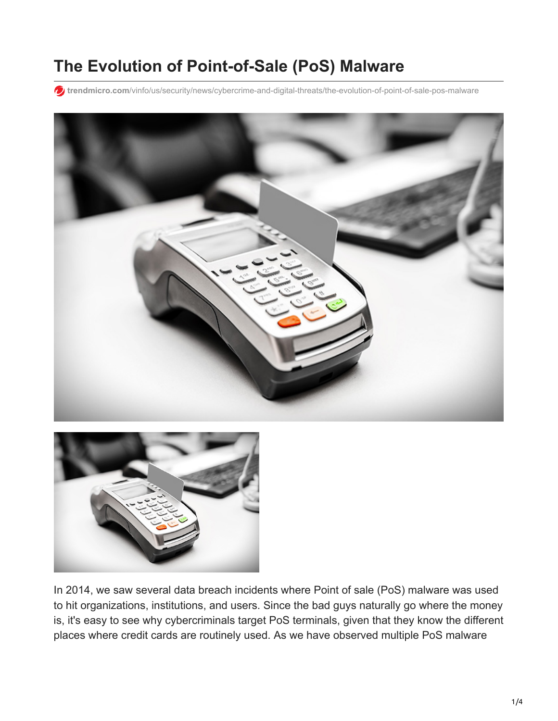# **The Evolution of Point-of-Sale (PoS) Malware**

**trendmicro.com**[/vinfo/us/security/news/cybercrime-and-digital-threats/the-evolution-of-point-of-sale-pos-malware](https://www.trendmicro.com/vinfo/us/security/news/cybercrime-and-digital-threats/the-evolution-of-point-of-sale-pos-malware)





In 2014, we saw several data breach incidents where Point of sale (PoS) malware was used to hit organizations, institutions, and users. Since the bad guys naturally go where the money is, it's easy to see why cybercriminals target PoS terminals, given that they know the different places where credit cards are routinely used. As we have observed multiple PoS malware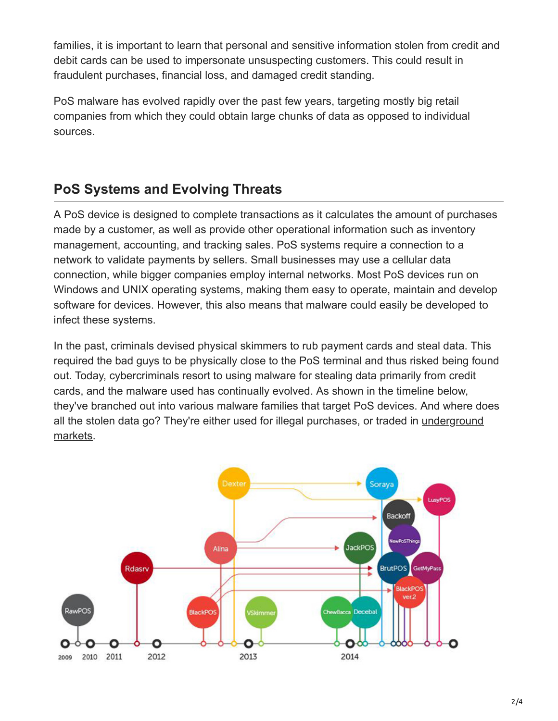families, it is important to learn that personal and sensitive information stolen from credit and debit cards can be used to impersonate unsuspecting customers. This could result in fraudulent purchases, financial loss, and damaged credit standing.

PoS malware has evolved rapidly over the past few years, targeting mostly big retail companies from which they could obtain large chunks of data as opposed to individual sources.

# **PoS Systems and Evolving Threats**

A PoS device is designed to complete transactions as it calculates the amount of purchases made by a customer, as well as provide other operational information such as inventory management, accounting, and tracking sales. PoS systems require a connection to a network to validate payments by sellers. Small businesses may use a cellular data connection, while bigger companies employ internal networks. Most PoS devices run on Windows and UNIX operating systems, making them easy to operate, maintain and develop software for devices. However, this also means that malware could easily be developed to infect these systems.

In the past, criminals devised physical skimmers to rub payment cards and steal data. This required the bad guys to be physically close to the PoS terminal and thus risked being found out. Today, cybercriminals resort to using malware for stealing data primarily from credit cards, and the malware used has continually evolved. As shown in the timeline below, they've branched out into various malware families that target PoS devices. And where does [all the stolen data go? They're either used for illegal purchases, or traded in underground](http://blog.trendmicro.com/trendlabs-security-intelligence/planes-trains-automobiles-are-you-safe-from-pos-malware-anywhere/) markets.

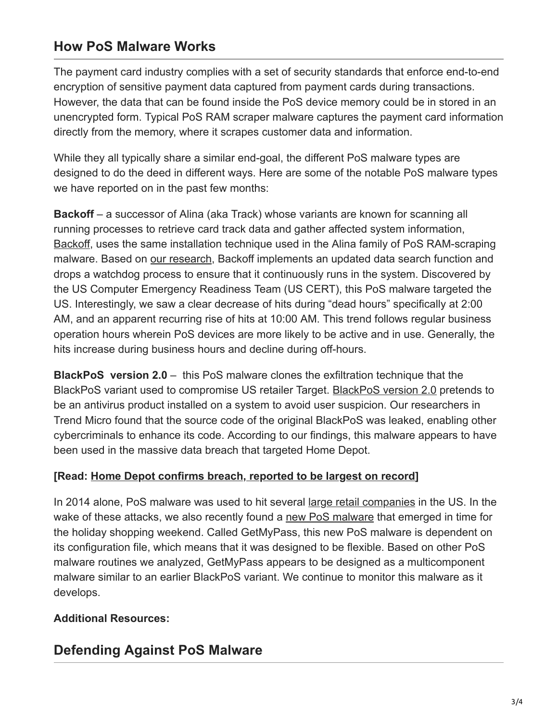## **How PoS Malware Works**

The payment card industry complies with a set of security standards that enforce end-to-end encryption of sensitive payment data captured from payment cards during transactions. However, the data that can be found inside the PoS device memory could be in stored in an unencrypted form. Typical PoS RAM scraper malware captures the payment card information directly from the memory, where it scrapes customer data and information.

While they all typically share a similar end-goal, the different PoS malware types are designed to do the deed in different ways. Here are some of the notable PoS malware types we have reported on in the past few months:

**Backoff** – a successor of Alina (aka Track) whose variants are known for scanning all running processes to retrieve card track data and gather affected system information, [Backoff,](https://www.us-cert.gov/ncas/alerts/TA14-212A) uses the same installation technique used in the Alina family of PoS RAM-scraping malware. Based on [our research](http://blog.trendmicro.com/trendlabs-security-intelligence/new-pos-malware-backoff-targets-us/), Backoff implements an updated data search function and drops a watchdog process to ensure that it continuously runs in the system. Discovered by the US Computer Emergency Readiness Team (US CERT), this PoS malware targeted the US. Interestingly, we saw a clear decrease of hits during "dead hours" specifically at 2:00 AM, and an apparent recurring rise of hits at 10:00 AM. This trend follows regular business operation hours wherein PoS devices are more likely to be active and in use. Generally, the hits increase during business hours and decline during off-hours.

**BlackPoS version 2.0** – this PoS malware clones the exfiltration technique that the BlackPoS variant used to compromise US retailer Target. [BlackPoS version 2.0](http://blog.trendmicro.com/trendlabs-security-intelligence/new-blackpos-malware-emerges-in-the-wild-targets-retail-accounts/) pretends to be an antivirus product installed on a system to avoid user suspicion. Our researchers in Trend Micro found that the source code of the original BlackPoS was leaked, enabling other cybercriminals to enhance its code. According to our findings, this malware appears to have been used in the massive data breach that targeted Home Depot.

### **[Read: [Home Depot confirms breach, reported to be largest on record\]](https://www.trendmicro.com/vinfo/us/security/news/cyber-attacks/home-depot-confirms-breach-of-us-and-canada-stores-reported-to-be-largest-in-record)**

In 2014 alone, PoS malware was used to hit several [large retail companies](http://blog.trendmicro.com/target-breach-shows-need-create-secure-payment-systems/) in the US. In the wake of these attacks, we also recently found a [new PoS malware](http://blog.trendmicro.com/trendlabs-security-intelligence/new-pos-malware-kicks-off-holiday-shopping-weekend/) that emerged in time for the holiday shopping weekend. Called GetMyPass, this new PoS malware is dependent on its configuration file, which means that it was designed to be flexible. Based on other PoS malware routines we analyzed, GetMyPass appears to be designed as a multicomponent malware similar to an earlier BlackPoS variant. We continue to monitor this malware as it develops.

### **Additional Resources:**

### **Defending Against PoS Malware**